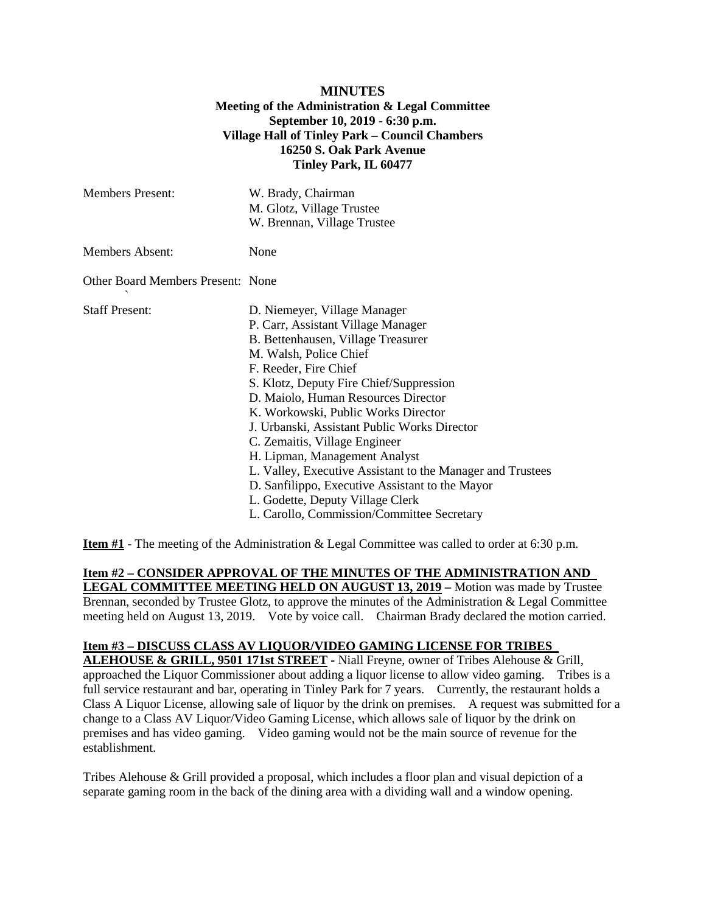## **MINUTES Meeting of the Administration & Legal Committee September 10, 2019 - 6:30 p.m. Village Hall of Tinley Park – Council Chambers 16250 S. Oak Park Avenue Tinley Park, IL 60477**

| <b>Members Present:</b>                  | W. Brady, Chairman<br>M. Glotz, Village Trustee<br>W. Brennan, Village Trustee                                                                                                                                                                                                                                                                                                                                                                                                                                                                                                                            |
|------------------------------------------|-----------------------------------------------------------------------------------------------------------------------------------------------------------------------------------------------------------------------------------------------------------------------------------------------------------------------------------------------------------------------------------------------------------------------------------------------------------------------------------------------------------------------------------------------------------------------------------------------------------|
| <b>Members Absent:</b>                   | None                                                                                                                                                                                                                                                                                                                                                                                                                                                                                                                                                                                                      |
| <b>Other Board Members Present: None</b> |                                                                                                                                                                                                                                                                                                                                                                                                                                                                                                                                                                                                           |
| <b>Staff Present:</b>                    | D. Niemeyer, Village Manager<br>P. Carr, Assistant Village Manager<br>B. Bettenhausen, Village Treasurer<br>M. Walsh, Police Chief<br>F. Reeder, Fire Chief<br>S. Klotz, Deputy Fire Chief/Suppression<br>D. Maiolo, Human Resources Director<br>K. Workowski, Public Works Director<br>J. Urbanski, Assistant Public Works Director<br>C. Zemaitis, Village Engineer<br>H. Lipman, Management Analyst<br>L. Valley, Executive Assistant to the Manager and Trustees<br>D. Sanfilippo, Executive Assistant to the Mayor<br>L. Godette, Deputy Village Clerk<br>L. Carollo, Commission/Committee Secretary |

**Item #1** - The meeting of the Administration & Legal Committee was called to order at 6:30 p.m.

**Item #2 – CONSIDER APPROVAL OF THE MINUTES OF THE ADMINISTRATION AND LEGAL COMMITTEE MEETING HELD ON AUGUST 13, 2019 –** Motion was made by Trustee Brennan, seconded by Trustee Glotz, to approve the minutes of the Administration & Legal Committee meeting held on August 13, 2019. Vote by voice call. Chairman Brady declared the motion carried.

## **Item #3 – DISCUSS CLASS AV LIQUOR/VIDEO GAMING LICENSE FOR TRIBES**

**ALEHOUSE & GRILL, 9501 171st STREET -** Niall Freyne, owner of Tribes Alehouse & Grill, approached the Liquor Commissioner about adding a liquor license to allow video gaming. Tribes is a full service restaurant and bar, operating in Tinley Park for 7 years. Currently, the restaurant holds a Class A Liquor License, allowing sale of liquor by the drink on premises. A request was submitted for a change to a Class AV Liquor/Video Gaming License, which allows sale of liquor by the drink on premises and has video gaming. Video gaming would not be the main source of revenue for the establishment.

Tribes Alehouse & Grill provided a proposal, which includes a floor plan and visual depiction of a separate gaming room in the back of the dining area with a dividing wall and a window opening.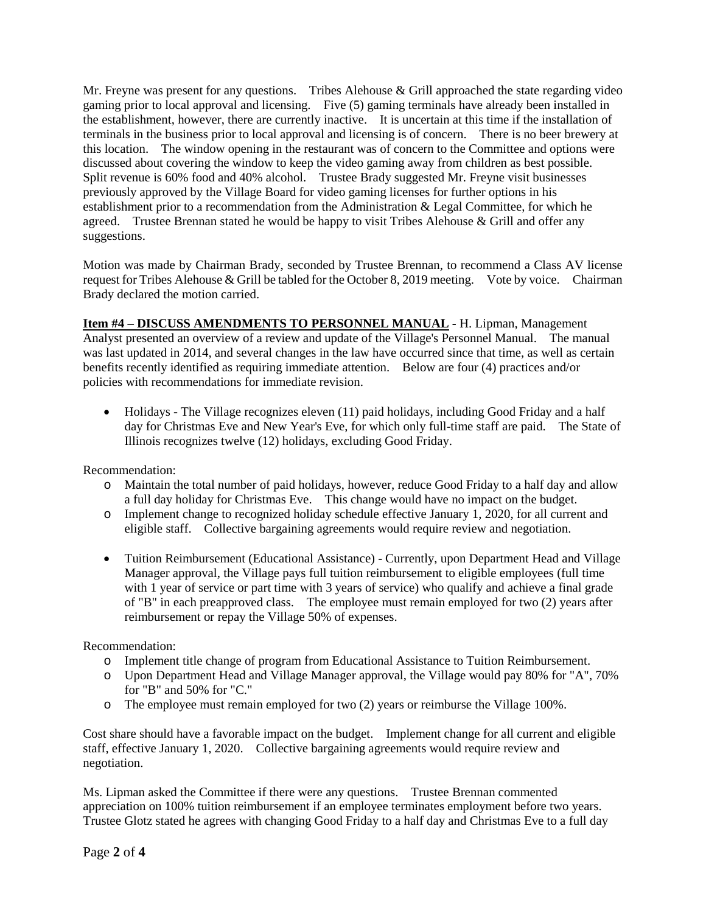Mr. Freyne was present for any questions. Tribes Alehouse & Grill approached the state regarding video gaming prior to local approval and licensing. Five (5) gaming terminals have already been installed in the establishment, however, there are currently inactive. It is uncertain at this time if the installation of terminals in the business prior to local approval and licensing is of concern. There is no beer brewery at this location. The window opening in the restaurant was of concern to the Committee and options were discussed about covering the window to keep the video gaming away from children as best possible. Split revenue is 60% food and 40% alcohol. Trustee Brady suggested Mr. Freyne visit businesses previously approved by the Village Board for video gaming licenses for further options in his establishment prior to a recommendation from the Administration & Legal Committee, for which he agreed. Trustee Brennan stated he would be happy to visit Tribes Alehouse & Grill and offer any suggestions.

Motion was made by Chairman Brady, seconded by Trustee Brennan, to recommend a Class AV license request for Tribes Alehouse & Grill be tabled for the October 8, 2019 meeting. Vote by voice. Chairman Brady declared the motion carried.

**Item #4 – DISCUSS AMENDMENTS TO PERSONNEL MANUAL -** H. Lipman, Management Analyst presented an overview of a review and update of the Village's Personnel Manual. The manual was last updated in 2014, and several changes in the law have occurred since that time, as well as certain benefits recently identified as requiring immediate attention. Below are four (4) practices and/or policies with recommendations for immediate revision.

• Holidays - The Village recognizes eleven (11) paid holidays, including Good Friday and a half day for Christmas Eve and New Year's Eve, for which only full-time staff are paid. The State of Illinois recognizes twelve (12) holidays, excluding Good Friday.

Recommendation:

- o Maintain the total number of paid holidays, however, reduce Good Friday to a half day and allow a full day holiday for Christmas Eve. This change would have no impact on the budget.
- o Implement change to recognized holiday schedule effective January 1, 2020, for all current and eligible staff. Collective bargaining agreements would require review and negotiation.
- Tuition Reimbursement (Educational Assistance) Currently, upon Department Head and Village Manager approval, the Village pays full tuition reimbursement to eligible employees (full time with 1 year of service or part time with 3 years of service) who qualify and achieve a final grade of "B" in each preapproved class. The employee must remain employed for two (2) years after reimbursement or repay the Village 50% of expenses.

Recommendation:

- o Implement title change of program from Educational Assistance to Tuition Reimbursement.
- o Upon Department Head and Village Manager approval, the Village would pay 80% for "A", 70% for "B" and 50% for "C."
- o The employee must remain employed for two (2) years or reimburse the Village 100%.

Cost share should have a favorable impact on the budget. Implement change for all current and eligible staff, effective January 1, 2020. Collective bargaining agreements would require review and negotiation.

Ms. Lipman asked the Committee if there were any questions. Trustee Brennan commented appreciation on 100% tuition reimbursement if an employee terminates employment before two years. Trustee Glotz stated he agrees with changing Good Friday to a half day and Christmas Eve to a full day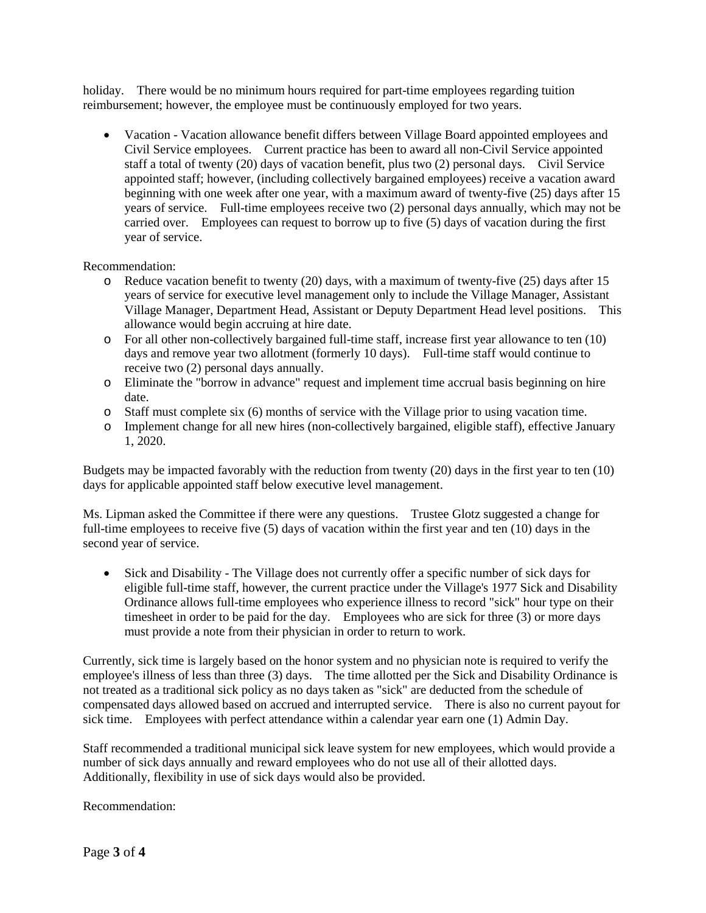holiday. There would be no minimum hours required for part-time employees regarding tuition reimbursement; however, the employee must be continuously employed for two years.

• Vacation - Vacation allowance benefit differs between Village Board appointed employees and Civil Service employees. Current practice has been to award all non-Civil Service appointed staff a total of twenty (20) days of vacation benefit, plus two (2) personal days. Civil Service appointed staff; however, (including collectively bargained employees) receive a vacation award beginning with one week after one year, with a maximum award of twenty-five (25) days after 15 years of service. Full-time employees receive two (2) personal days annually, which may not be carried over. Employees can request to borrow up to five (5) days of vacation during the first year of service.

Recommendation:

- o Reduce vacation benefit to twenty (20) days, with a maximum of twenty-five (25) days after 15 years of service for executive level management only to include the Village Manager, Assistant Village Manager, Department Head, Assistant or Deputy Department Head level positions. This allowance would begin accruing at hire date.
- o For all other non-collectively bargained full-time staff, increase first year allowance to ten (10) days and remove year two allotment (formerly 10 days). Full-time staff would continue to receive two (2) personal days annually.
- o Eliminate the "borrow in advance" request and implement time accrual basis beginning on hire date.
- o Staff must complete six (6) months of service with the Village prior to using vacation time.
- o Implement change for all new hires (non-collectively bargained, eligible staff), effective January 1, 2020.

Budgets may be impacted favorably with the reduction from twenty (20) days in the first year to ten (10) days for applicable appointed staff below executive level management.

Ms. Lipman asked the Committee if there were any questions. Trustee Glotz suggested a change for full-time employees to receive five (5) days of vacation within the first year and ten (10) days in the second year of service.

• Sick and Disability - The Village does not currently offer a specific number of sick days for eligible full-time staff, however, the current practice under the Village's 1977 Sick and Disability Ordinance allows full-time employees who experience illness to record "sick" hour type on their timesheet in order to be paid for the day. Employees who are sick for three (3) or more days must provide a note from their physician in order to return to work.

Currently, sick time is largely based on the honor system and no physician note is required to verify the employee's illness of less than three (3) days. The time allotted per the Sick and Disability Ordinance is not treated as a traditional sick policy as no days taken as "sick" are deducted from the schedule of compensated days allowed based on accrued and interrupted service. There is also no current payout for sick time. Employees with perfect attendance within a calendar year earn one (1) Admin Day.

Staff recommended a traditional municipal sick leave system for new employees, which would provide a number of sick days annually and reward employees who do not use all of their allotted days. Additionally, flexibility in use of sick days would also be provided.

Recommendation: